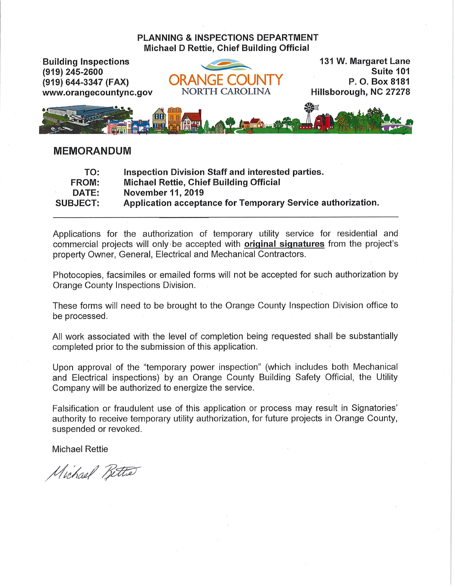## **PLANNING & INSPECTIONS DEPARTMENT Michael D Rettie, Chief Building Official**



## **MEMORANDUM**

| TO:             | Inspection Division Staff and interested parties.           |
|-----------------|-------------------------------------------------------------|
| FROM:           | <b>Michael Rettie, Chief Building Official</b>              |
| <b>DATE:</b>    | November 11, 2019                                           |
| <b>SUBJECT:</b> | Application acceptance for Temporary Service authorization. |

Applications for the authorization of temporary utility service for residential and commercial projects will only be accepted with **original signatures** from the project's property Owner, General, Electrical and Mechanical Contractors.

Photocopies, facsimiles or emailed forms will not be accepted for such authorization by Orange County Inspections Division.

These forms will need to be brought to the Orange County Inspection Division office to be processed.

All work associated with the level of completion being requested shall be substantially completed prior to the submission of this application.

Upon approval of the "temporary power inspection" (which includes both Mechanical and Electrical inspections) by an Orange County Building Safety Official, the Utility Company will be authorized to energize the service.

Falsification or fraudulent use of this application or process may result in Signatories' authority to receive temporary utility authorization, for future projects in Orange County, suspended or revoked.

**Michael Rettie** 

Michael Bette